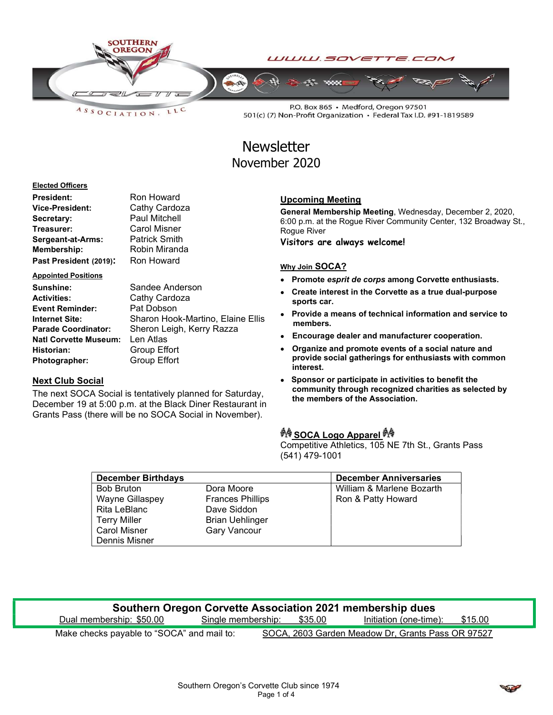

LLC  $A S S O C IATION.$ 

P.O. Box 865 · Medford, Oregon 97501 501(c) (7) Non-Profit Organization · Federal Tax I.D. #91-1819589

# **Newsletter** November 2020

#### Elected Officers

| <b>President:</b>      | Ron Howard           |
|------------------------|----------------------|
| <b>Vice-President:</b> | Cathy Cardoza        |
| Secretary:             | <b>Paul Mitchell</b> |
| Treasurer:             | <b>Carol Misner</b>  |
| Sergeant-at-Arms:      | <b>Patrick Smith</b> |
| <b>Membership:</b>     | Robin Miranda        |
| Past President (2019): | Ron Howard           |

#### Appointed Positions

| Sunshine:                    | Sandee Anderson                   |
|------------------------------|-----------------------------------|
| <b>Activities:</b>           | Cathy Cardoza                     |
| <b>Event Reminder:</b>       | Pat Dobson                        |
| <b>Internet Site:</b>        | Sharon Hook-Martino, Elaine Ellis |
| <b>Parade Coordinator:</b>   | Sheron Leigh, Kerry Razza         |
| <b>Natl Corvette Museum:</b> | Len Atlas                         |
| Historian:                   | Group Effort                      |
| Photographer:                | <b>Group Effort</b>               |

### Next Club Social

The next SOCA Social is tentatively planned for Saturday, December 19 at 5:00 p.m. at the Black Diner Restaurant in Grants Pass (there will be no SOCA Social in November).

## Upcoming Meeting

General Membership Meeting, Wednesday, December 2, 2020, 6:00 p.m. at the Rogue River Community Center, 132 Broadway St., Rogue River

Visitors are always welcome!

#### Why Join SOCA?

- Promote esprit de corps among Corvette enthusiasts.
- Create interest in the Corvette as a true dual-purpose sports car.
- Provide a means of technical information and service to members.
- Encourage dealer and manufacturer cooperation.
- Organize and promote events of a social nature and provide social gatherings for enthusiasts with common interest.
- Sponsor or participate in activities to benefit the community through recognized charities as selected by the members of the Association.

## <u>∳∜ SOCA Logo Apparel</u>

Competitive Athletics, 105 NE 7th St., Grants Pass (541) 479-1001

| <b>December Birthdays</b> |                         | <b>December Anniversaries</b> |
|---------------------------|-------------------------|-------------------------------|
| <b>Bob Bruton</b>         | Dora Moore              | William & Marlene Bozarth     |
| <b>Wayne Gillaspey</b>    | <b>Frances Phillips</b> | Ron & Patty Howard            |
| Rita LeBlanc              | Dave Siddon             |                               |
| <b>Terry Miller</b>       | <b>Brian Uehlinger</b>  |                               |
| <b>Carol Misner</b>       | <b>Gary Vancour</b>     |                               |
| Dennis Misner             |                         |                               |

| Southern Oregon Corvette Association 2021 membership dues |                            |  |                                                   |         |
|-----------------------------------------------------------|----------------------------|--|---------------------------------------------------|---------|
| Dual membership: \$50.00                                  | Single membership: \$35.00 |  | Initiation (one-time):                            | \$15.00 |
| Make checks payable to "SOCA" and mail to:                |                            |  | SOCA, 2603 Garden Meadow Dr, Grants Pass OR 97527 |         |

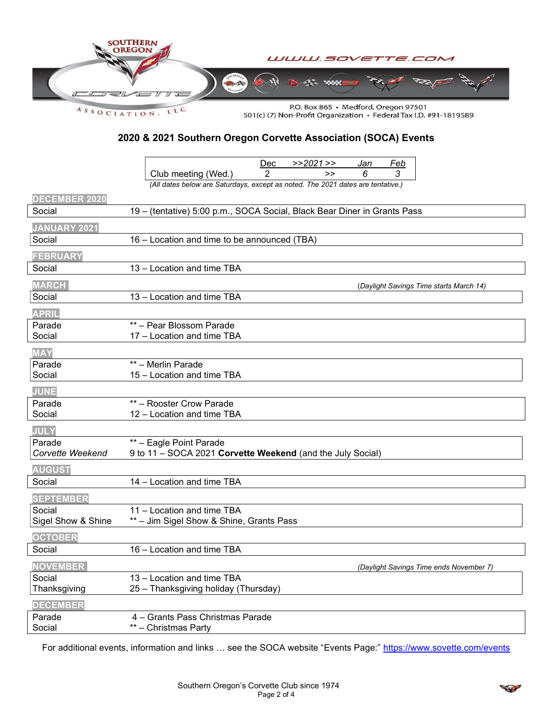

2020 & 2021 Southern Oregon Corvette Association (SOCA) Events

|                               | >>2021>><br>Dec<br>Feb<br>Jan                                                   |
|-------------------------------|---------------------------------------------------------------------------------|
|                               | 2<br>6<br>3<br>Club meeting (Wed.)<br>>                                         |
|                               | (All dates below are Saturdays, except as noted. The 2021 dates are tentative.) |
| <b>DECEMBER 2020</b>          |                                                                                 |
| Social                        | 19 - (tentative) 5:00 p.m., SOCA Social, Black Bear Diner in Grants Pass        |
|                               |                                                                                 |
| <b>JANUARY 2021</b><br>Social | 16 - Location and time to be announced (TBA)                                    |
|                               |                                                                                 |
| <b>FEBRUARY</b>               |                                                                                 |
| Social                        | 13 - Location and time TBA                                                      |
| <b>MARCH</b>                  | (Daylight Savings Time starts March 14)                                         |
| Social                        | 13 - Location and time TBA                                                      |
| <b>APRIL</b>                  |                                                                                 |
| Parade                        | ** - Pear Blossom Parade                                                        |
| Social                        | 17 - Location and time TBA                                                      |
| <b>MAY</b>                    |                                                                                 |
| Parade                        | ** - Merlin Parade                                                              |
| Social                        | 15 - Location and time TBA                                                      |
| <b>JUNE</b>                   |                                                                                 |
| Parade                        | ** - Rooster Crow Parade                                                        |
| Social                        | 12 - Location and time TBA                                                      |
| <b>JULY</b>                   |                                                                                 |
| Parade                        | ** - Eagle Point Parade                                                         |
| Corvette Weekend              | 9 to 11 - SOCA 2021 Corvette Weekend (and the July Social)                      |
| <b>AUGUST</b>                 |                                                                                 |
| Social                        | 14 - Location and time TBA                                                      |
| <b>SEPTEMBER</b>              |                                                                                 |
| Social                        | 11 - Location and time TBA                                                      |
| Sigel Show & Shine            | ** - Jim Sigel Show & Shine, Grants Pass                                        |
| <b>OCTOBER</b>                |                                                                                 |
| Social                        | 16 - Location and time TBA                                                      |
| <b>NOVEMBER</b>               |                                                                                 |
| Social                        | (Daylight Savings Time ends November 7)<br>13 - Location and time TBA           |
| Thanksgiving                  | 25 - Thanksgiving holiday (Thursday)                                            |
| <b>DECEMBER</b>               |                                                                                 |
| Parade                        | 4 - Grants Pass Christmas Parade                                                |
| Social                        | ** - Christmas Party                                                            |

For additional events, information and links ... see the SOCA website "Events Page:" https://www.sovette.com/events

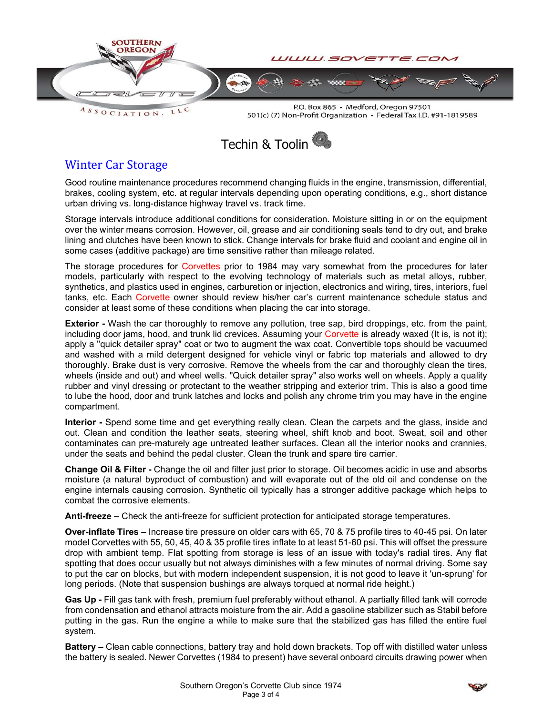

LLC  $A S S O C I AT I O N.$ 

P.O. Box 865 · Medford, Oregon 97501 501(c) (7) Non-Profit Organization • Federal Tax I.D. #91-1819589



# Winter Car Storage

Good routine maintenance procedures recommend changing fluids in the engine, transmission, differential, brakes, cooling system, etc. at regular intervals depending upon operating conditions, e.g., short distance urban driving vs. long-distance highway travel vs. track time.

Storage intervals introduce additional conditions for consideration. Moisture sitting in or on the equipment over the winter means corrosion. However, oil, grease and air conditioning seals tend to dry out, and brake lining and clutches have been known to stick. Change intervals for brake fluid and coolant and engine oil in some cases (additive package) are time sensitive rather than mileage related.

The storage procedures for Corvettes prior to 1984 may vary somewhat from the procedures for later models, particularly with respect to the evolving technology of materials such as metal alloys, rubber, synthetics, and plastics used in engines, carburetion or injection, electronics and wiring, tires, interiors, fuel tanks, etc. Each Corvette owner should review his/her car's current maintenance schedule status and consider at least some of these conditions when placing the car into storage.

**Exterior** - Wash the car thoroughly to remove any pollution, tree sap, bird droppings, etc. from the paint, including door jams, hood, and trunk lid crevices. Assuming your Corvette is already waxed (It is, is not it); apply a "quick detailer spray" coat or two to augment the wax coat. Convertible tops should be vacuumed and washed with a mild detergent designed for vehicle vinyl or fabric top materials and allowed to dry thoroughly. Brake dust is very corrosive. Remove the wheels from the car and thoroughly clean the tires, wheels (inside and out) and wheel wells. "Quick detailer spray" also works well on wheels. Apply a quality rubber and vinyl dressing or protectant to the weather stripping and exterior trim. This is also a good time to lube the hood, door and trunk latches and locks and polish any chrome trim you may have in the engine compartment.

Interior - Spend some time and get everything really clean. Clean the carpets and the glass, inside and out. Clean and condition the leather seats, steering wheel, shift knob and boot. Sweat, soil and other contaminates can pre-maturely age untreated leather surfaces. Clean all the interior nooks and crannies, under the seats and behind the pedal cluster. Clean the trunk and spare tire carrier.

Change Oil & Filter - Change the oil and filter just prior to storage. Oil becomes acidic in use and absorbs moisture (a natural byproduct of combustion) and will evaporate out of the old oil and condense on the engine internals causing corrosion. Synthetic oil typically has a stronger additive package which helps to combat the corrosive elements.

Anti-freeze – Check the anti-freeze for sufficient protection for anticipated storage temperatures.

Over-inflate Tires – Increase tire pressure on older cars with 65, 70 & 75 profile tires to 40-45 psi. On later model Corvettes with 55, 50, 45, 40 & 35 profile tires inflate to at least 51-60 psi. This will offset the pressure drop with ambient temp. Flat spotting from storage is less of an issue with today's radial tires. Any flat spotting that does occur usually but not always diminishes with a few minutes of normal driving. Some say to put the car on blocks, but with modern independent suspension, it is not good to leave it 'un-sprung' for long periods. (Note that suspension bushings are always torqued at normal ride height.)

Gas Up - Fill gas tank with fresh, premium fuel preferably without ethanol. A partially filled tank will corrode from condensation and ethanol attracts moisture from the air. Add a gasoline stabilizer such as Stabil before putting in the gas. Run the engine a while to make sure that the stabilized gas has filled the entire fuel system.

Battery – Clean cable connections, battery tray and hold down brackets. Top off with distilled water unless the battery is sealed. Newer Corvettes (1984 to present) have several onboard circuits drawing power when